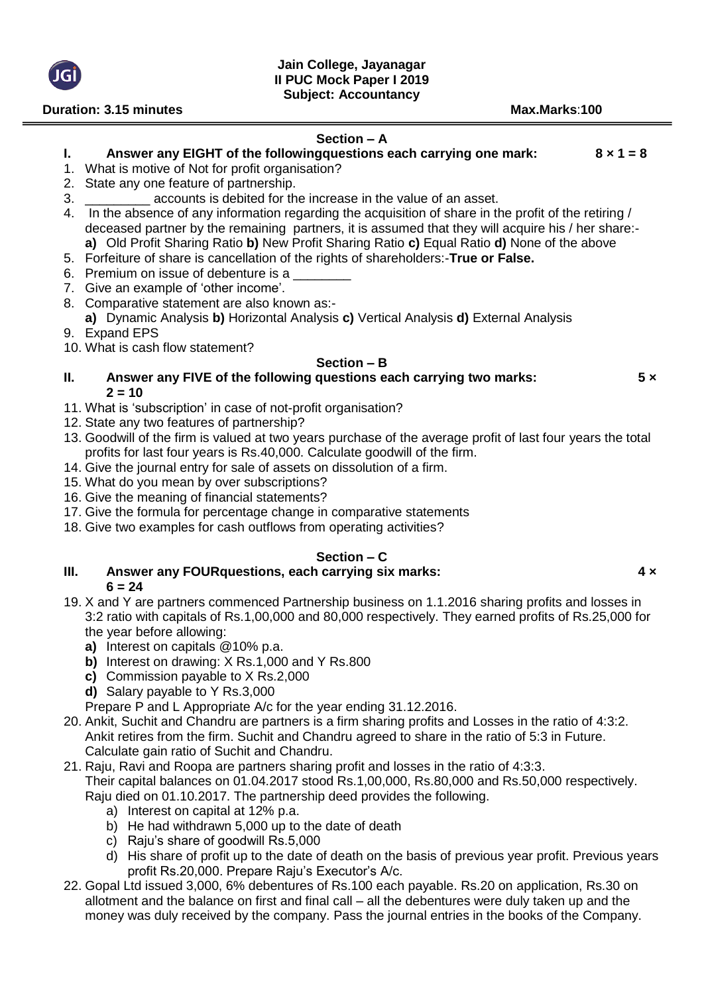**II PUC Mock Paper I 2019**

**Duration: 3.15 minutes Max.Marks**:**100 Section – A I. Answer any EIGHT of the followingquestions each carrying one mark: 8 × 1 = 8** 1. What is motive of Not for profit organisation? 2. State any one feature of partnership. 3. \_\_\_\_\_\_\_\_\_ accounts is debited for the increase in the value of an asset. 4. In the absence of any information regarding the acquisition of share in the profit of the retiring / deceased partner by the remaining partners, it is assumed that they will acquire his / her share: **a)** Old Profit Sharing Ratio **b)** New Profit Sharing Ratio **c)** Equal Ratio **d)** None of the above 5. Forfeiture of share is cancellation of the rights of shareholders:-**True or False.** 6. Premium on issue of debenture is a 7. Give an example of 'other income'. 8. Comparative statement are also known as: **a)** Dynamic Analysis **b)** Horizontal Analysis **c)** Vertical Analysis **d)** External Analysis 9. Expand EPS 10. What is cash flow statement? **Section – B II. Answer any FIVE of the following questions each carrying two marks: 5 ×**   $2 = 10$ 11. What is 'subscription' in case of not-profit organisation? 12. State any two features of partnership? 13. Goodwill of the firm is valued at two years purchase of the average profit of last four years the total profits for last four years is Rs.40,000. Calculate goodwill of the firm. 14. Give the journal entry for sale of assets on dissolution of a firm. 15. What do you mean by over subscriptions? 16. Give the meaning of financial statements? 17. Give the formula for percentage change in comparative statements

18. Give two examples for cash outflows from operating activities?

### **Section – C**

### **III. Answer any FOURquestions, each carrying six marks: 4 ×**   $6 = 24$

- 19. X and Y are partners commenced Partnership business on 1.1.2016 sharing profits and losses in 3:2 ratio with capitals of Rs.1,00,000 and 80,000 respectively. They earned profits of Rs.25,000 for the year before allowing:
	- **a)** Interest on capitals @10% p.a.
	- **b)** Interest on drawing: X Rs.1,000 and Y Rs.800
	- **c)** Commission payable to X Rs.2,000
	- **d)** Salary payable to Y Rs.3,000
	- Prepare P and L Appropriate A/c for the year ending 31.12.2016.
- 20. Ankit, Suchit and Chandru are partners is a firm sharing profits and Losses in the ratio of 4:3:2. Ankit retires from the firm. Suchit and Chandru agreed to share in the ratio of 5:3 in Future. Calculate gain ratio of Suchit and Chandru.
- 21. Raju, Ravi and Roopa are partners sharing profit and losses in the ratio of 4:3:3.

Their capital balances on 01.04.2017 stood Rs.1,00,000, Rs.80,000 and Rs.50,000 respectively. Raju died on 01.10.2017. The partnership deed provides the following.

- a) Interest on capital at 12% p.a.
- b) He had withdrawn 5,000 up to the date of death
- c) Raju's share of goodwill Rs.5,000
- d) His share of profit up to the date of death on the basis of previous year profit. Previous years profit Rs.20,000. Prepare Raju's Executor's A/c.
- 22. Gopal Ltd issued 3,000, 6% debentures of Rs.100 each payable. Rs.20 on application, Rs.30 on allotment and the balance on first and final call – all the debentures were duly taken up and the money was duly received by the company. Pass the journal entries in the books of the Company.

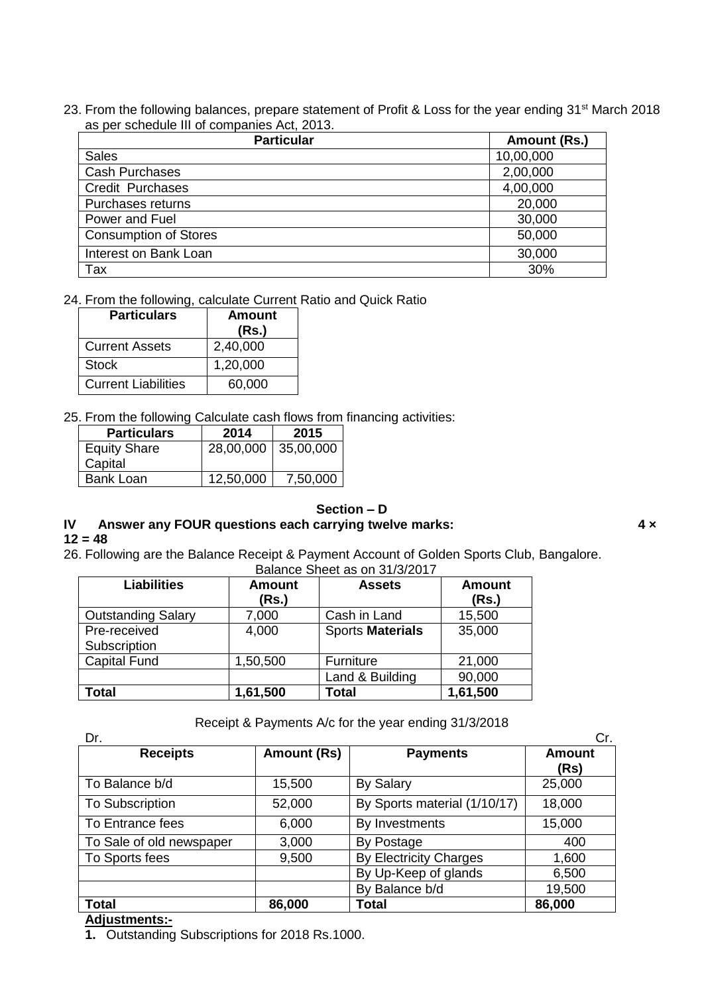23. From the following balances, prepare statement of Profit & Loss for the year ending 31<sup>st</sup> March 2018 as per schedule III of companies Act, 2013.

| <b>Particular</b>            | Amount (Rs.) |
|------------------------------|--------------|
| <b>Sales</b>                 | 10,00,000    |
| <b>Cash Purchases</b>        | 2,00,000     |
| <b>Credit Purchases</b>      | 4,00,000     |
| Purchases returns            | 20,000       |
| Power and Fuel               | 30,000       |
| <b>Consumption of Stores</b> | 50,000       |
| Interest on Bank Loan        | 30,000       |
| Tax                          | 30%          |

#### 24. From the following, calculate Current Ratio and Quick Ratio

| <b>Particulars</b>         | Amount<br>(Rs.) |
|----------------------------|-----------------|
| <b>Current Assets</b>      | 2,40,000        |
| Stock                      | 1,20,000        |
| <b>Current Liabilities</b> | 60,000          |

25. From the following Calculate cash flows from financing activities:

| 2014      | 2015      |
|-----------|-----------|
| 28,00,000 | 35,00,000 |
|           |           |
| 12,50,000 | 7,50,000  |
|           |           |

## **Section – D**

# **IV Answer any FOUR questions each carrying twelve marks: 4 ×**

## $12 = 48$

26. Following are the Balance Receipt & Payment Account of Golden Sports Club, Bangalore. Balance Sheet as on 31/3/2017

| <b>Pulution Officer ad Official Lot</b> in |               |                         |               |
|--------------------------------------------|---------------|-------------------------|---------------|
| <b>Liabilities</b>                         | <b>Amount</b> | <b>Assets</b>           | <b>Amount</b> |
|                                            | (Rs.)         |                         | (Rs.)         |
| <b>Outstanding Salary</b>                  | 7,000         | Cash in Land            | 15,500        |
| Pre-received                               | 4,000         | <b>Sports Materials</b> | 35,000        |
| Subscription                               |               |                         |               |
| <b>Capital Fund</b>                        | 1,50,500      | Furniture               | 21,000        |
|                                            |               | Land & Building         | 90,000        |
| <b>Total</b>                               | 1,61,500      | <b>Total</b>            | 1,61,500      |

Receipt & Payments A/c for the year ending 31/3/2018

| Dr.                      |                    |                               | Cr.                   |
|--------------------------|--------------------|-------------------------------|-----------------------|
| <b>Receipts</b>          | <b>Amount (Rs)</b> | <b>Payments</b>               | <b>Amount</b><br>(Rs) |
| To Balance b/d           | 15,500             | <b>By Salary</b>              | 25,000                |
| <b>To Subscription</b>   | 52,000             | By Sports material (1/10/17)  | 18,000                |
| To Entrance fees         | 6,000              | By Investments                | 15,000                |
| To Sale of old newspaper | 3,000              | By Postage                    | 400                   |
| To Sports fees           | 9,500              | <b>By Electricity Charges</b> | 1,600                 |
|                          |                    | By Up-Keep of glands          | 6,500                 |
|                          |                    | By Balance b/d                | 19,500                |
| <b>Total</b>             | 86,000             | <b>Total</b>                  | 86,000                |
| .                        |                    |                               |                       |

### **Adjustments:-**

**1.** Outstanding Subscriptions for 2018 Rs.1000.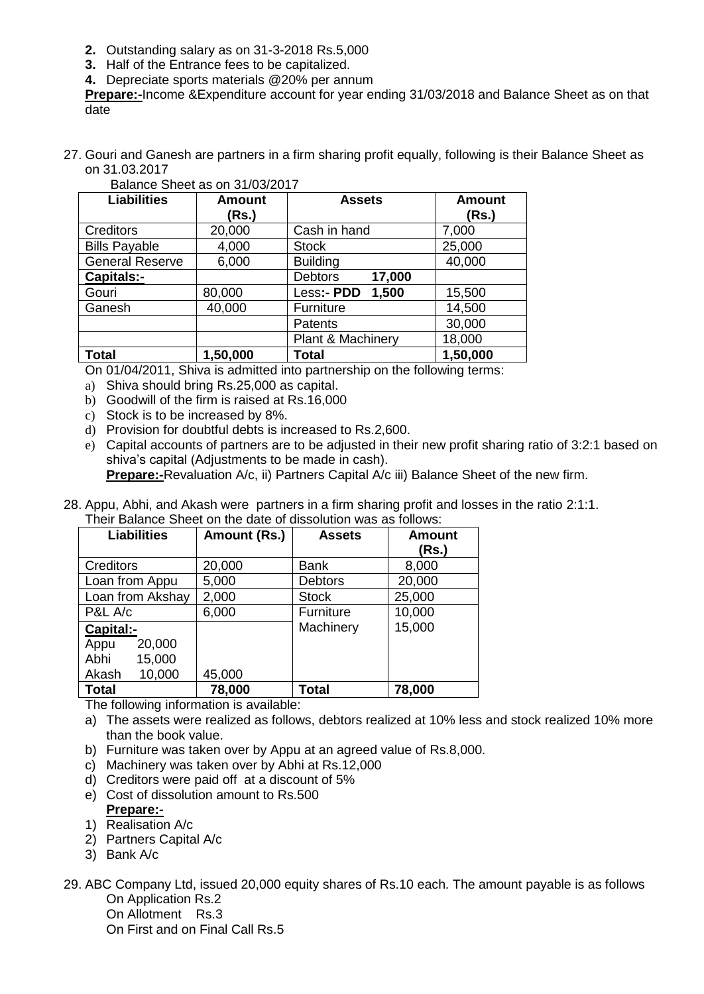- **2.** Outstanding salary as on 31-3-2018 Rs.5,000
- **3.** Half of the Entrance fees to be capitalized.
- **4.** Depreciate sports materials @20% per annum

**Prepare:-**Income &Expenditure account for year ending 31/03/2018 and Balance Sheet as on that date

27. Gouri and Ganesh are partners in a firm sharing profit equally, following is their Balance Sheet as on 31.03.2017

| Dalafice Stieet as 011 3 1/03/2017 |               |                              |               |
|------------------------------------|---------------|------------------------------|---------------|
| <b>Liabilities</b>                 | <b>Amount</b> | <b>Assets</b>                | <b>Amount</b> |
|                                    | (Rs.)         |                              | (Rs.)         |
| <b>Creditors</b>                   | 20,000        | Cash in hand                 | 7,000         |
| <b>Bills Payable</b>               | 4,000         | <b>Stock</b>                 | 25,000        |
| <b>General Reserve</b>             | 6,000         | <b>Building</b>              | 40,000        |
| <b>Capitals:-</b>                  |               | 17,000<br><b>Debtors</b>     |               |
| Gouri                              | 80,000        | Less:- PDD<br>1,500          | 15,500        |
| Ganesh                             | 40,000        | Furniture                    | 14,500        |
|                                    |               | <b>Patents</b>               | 30,000        |
|                                    |               | <b>Plant &amp; Machinery</b> | 18,000        |
| <b>Total</b>                       | 1,50,000      | Total                        | 1,50,000      |

#### Balance Sheet as on 31/03/2017

On 01/04/2011, Shiva is admitted into partnership on the following terms:

- a) Shiva should bring Rs.25,000 as capital.
- b) Goodwill of the firm is raised at Rs.16,000
- c) Stock is to be increased by 8%.
- d) Provision for doubtful debts is increased to Rs.2,600.
- e) Capital accounts of partners are to be adjusted in their new profit sharing ratio of 3:2:1 based on shiva's capital (Adjustments to be made in cash).

**Prepare:-**Revaluation A/c, ii) Partners Capital A/c iii) Balance Sheet of the new firm.

28. Appu, Abhi, and Akash were partners in a firm sharing profit and losses in the ratio 2:1:1. Their Balance Sheet on the date of dissolution was as follows:

| <b>Liabilities</b> | Amount (Rs.) | <b>Assets</b>  | <b>Amount</b> |
|--------------------|--------------|----------------|---------------|
|                    |              |                | (Rs.)         |
| <b>Creditors</b>   | 20,000       | <b>Bank</b>    | 8,000         |
| Loan from Appu     | 5,000        | <b>Debtors</b> | 20,000        |
| Loan from Akshay   | 2,000        | <b>Stock</b>   | 25,000        |
| P&L A/c            | 6,000        | Furniture      | 10,000        |
| Capital:-          |              | Machinery      | 15,000        |
| 20,000<br>Appu     |              |                |               |
| Abhi<br>15,000     |              |                |               |
| 10,000<br>Akash    | 45,000       |                |               |
| <b>Total</b>       | 78,000       | <b>Total</b>   | 78,000        |

The following information is available:

- a) The assets were realized as follows, debtors realized at 10% less and stock realized 10% more than the book value.
- b) Furniture was taken over by Appu at an agreed value of Rs.8,000.
- c) Machinery was taken over by Abhi at Rs.12,000
- d) Creditors were paid off at a discount of 5%
- e) Cost of dissolution amount to Rs.500 **Prepare:-**
- 1) Realisation A/c
- 2) Partners Capital A/c
- 3) Bank A/c

29. ABC Company Ltd, issued 20,000 equity shares of Rs.10 each. The amount payable is as follows On Application Rs.2

On Allotment Rs.3

On First and on Final Call Rs.5